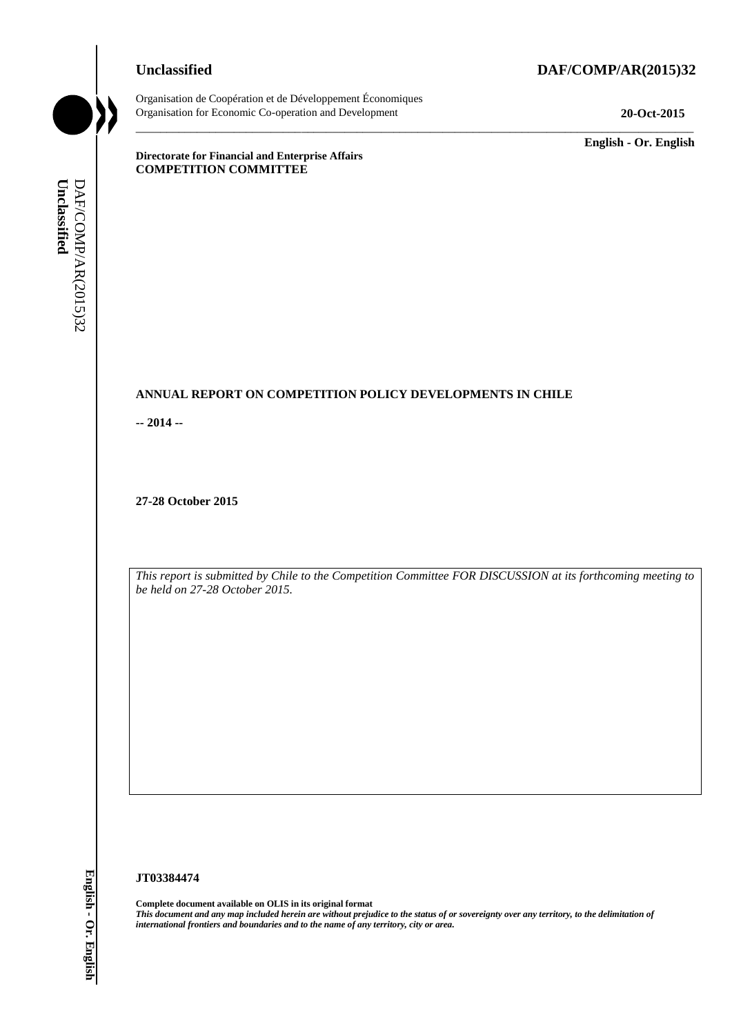# **Unclassified DAF/COMP/AR(2015)32**



Organisation de Coopération et de Développement Économiques Organisation for Economic Co-operation and Development **20-Oct-2015**

\_\_\_\_\_\_\_\_\_\_\_\_\_ **English - Or. English**

**Directorate for Financial and Enterprise Affairs COMPETITION COMMITTEE**

# **ANNUAL REPORT ON COMPETITION POLICY DEVELOPMENTS IN CHILE**

**-- 2014 --**

**27-28 October 2015**

*This report is submitted by Chile to the Competition Committee FOR DISCUSSION at its forthcoming meeting to be held on 27-28 October 2015.*

\_\_\_\_\_\_\_\_\_\_\_\_\_\_\_\_\_\_\_\_\_\_\_\_\_\_\_\_\_\_\_\_\_\_\_\_\_\_\_\_\_\_\_\_\_\_\_\_\_\_\_\_\_\_\_\_\_\_\_\_\_\_\_\_\_\_\_\_\_\_\_\_\_\_\_\_\_\_\_\_\_\_\_\_\_\_\_\_\_\_\_

#### **JT03384474**

**Complete document available on OLIS in its original format** *This document and any map included herein are without prejudice to the status of or sovereignty over any territory, to the delimitation of*  **iii** *international frontiers and boundaries and boundaries and boundaries and or area.* **English - Constrainers and boundaries and boundaries and boundaries and boundaries and boundaries and boundaries and boundaries a**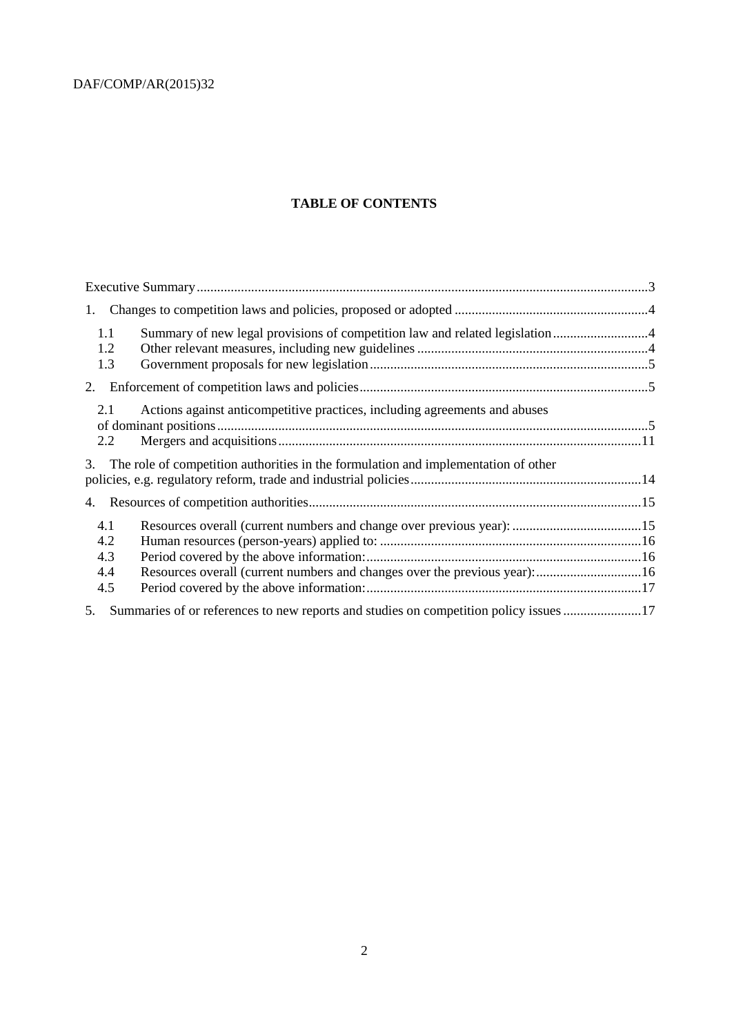# **TABLE OF CONTENTS**

| 1.         |                                                                                       |  |
|------------|---------------------------------------------------------------------------------------|--|
| 1.1<br>1.2 |                                                                                       |  |
| 1.3        |                                                                                       |  |
|            |                                                                                       |  |
| 2.1        | Actions against anticompetitive practices, including agreements and abuses            |  |
| 2.2        |                                                                                       |  |
| 3.         | The role of competition authorities in the formulation and implementation of other    |  |
|            |                                                                                       |  |
| 4.1        |                                                                                       |  |
| 4.2        |                                                                                       |  |
| 4.3        |                                                                                       |  |
| 4.4        | Resources overall (current numbers and changes over the previous year): 16            |  |
| 4.5        |                                                                                       |  |
| 5.         | Summaries of or references to new reports and studies on competition policy issues 17 |  |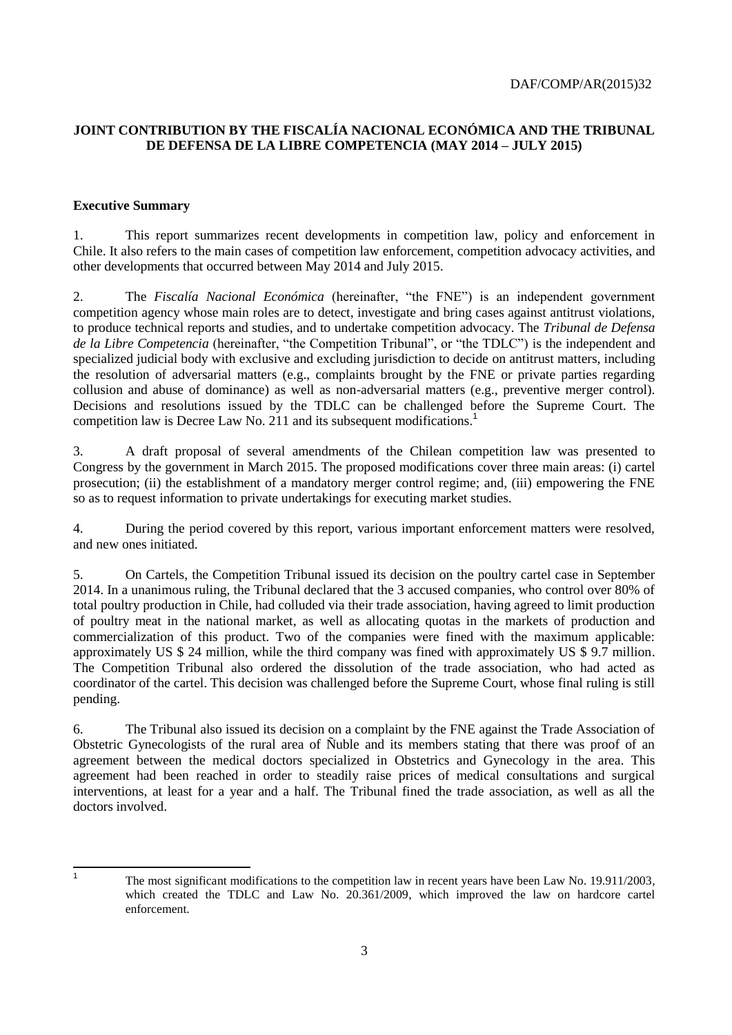# **JOINT CONTRIBUTION BY THE FISCALÍA NACIONAL ECONÓMICA AND THE TRIBUNAL DE DEFENSA DE LA LIBRE COMPETENCIA (MAY 2014 – JULY 2015)**

## <span id="page-2-0"></span>**Executive Summary**

1. This report summarizes recent developments in competition law, policy and enforcement in Chile. It also refers to the main cases of competition law enforcement, competition advocacy activities, and other developments that occurred between May 2014 and July 2015.

2. The *Fiscalía Nacional Económica* (hereinafter, "the FNE") is an independent government competition agency whose main roles are to detect, investigate and bring cases against antitrust violations, to produce technical reports and studies, and to undertake competition advocacy. The *Tribunal de Defensa de la Libre Competencia* (hereinafter, "the Competition Tribunal", or "the TDLC") is the independent and specialized judicial body with exclusive and excluding jurisdiction to decide on antitrust matters, including the resolution of adversarial matters (e.g., complaints brought by the FNE or private parties regarding collusion and abuse of dominance) as well as non-adversarial matters (e.g., preventive merger control). Decisions and resolutions issued by the TDLC can be challenged before the Supreme Court. The competition law is Decree Law No. 211 and its subsequent modifications.<sup>1</sup>

3. A draft proposal of several amendments of the Chilean competition law was presented to Congress by the government in March 2015. The proposed modifications cover three main areas: (i) cartel prosecution; (ii) the establishment of a mandatory merger control regime; and, (iii) empowering the FNE so as to request information to private undertakings for executing market studies.

4. During the period covered by this report, various important enforcement matters were resolved, and new ones initiated.

5. On Cartels, the Competition Tribunal issued its decision on the poultry cartel case in September 2014. In a unanimous ruling, the Tribunal declared that the 3 accused companies, who control over 80% of total poultry production in Chile, had colluded via their trade association, having agreed to limit production of poultry meat in the national market, as well as allocating quotas in the markets of production and commercialization of this product. Two of the companies were fined with the maximum applicable: approximately US \$ 24 million, while the third company was fined with approximately US \$ 9.7 million. The Competition Tribunal also ordered the dissolution of the trade association, who had acted as coordinator of the cartel. This decision was challenged before the Supreme Court, whose final ruling is still pending.

6. The Tribunal also issued its decision on a complaint by the FNE against the Trade Association of Obstetric Gynecologists of the rural area of Ñuble and its members stating that there was proof of an agreement between the medical doctors specialized in Obstetrics and Gynecology in the area. This agreement had been reached in order to steadily raise prices of medical consultations and surgical interventions, at least for a year and a half. The Tribunal fined the trade association, as well as all the doctors involved.

 $\frac{1}{1}$ 

The most significant modifications to the competition law in recent years have been Law No. 19.911/2003, which created the TDLC and Law No. 20.361/2009, which improved the law on hardcore cartel enforcement.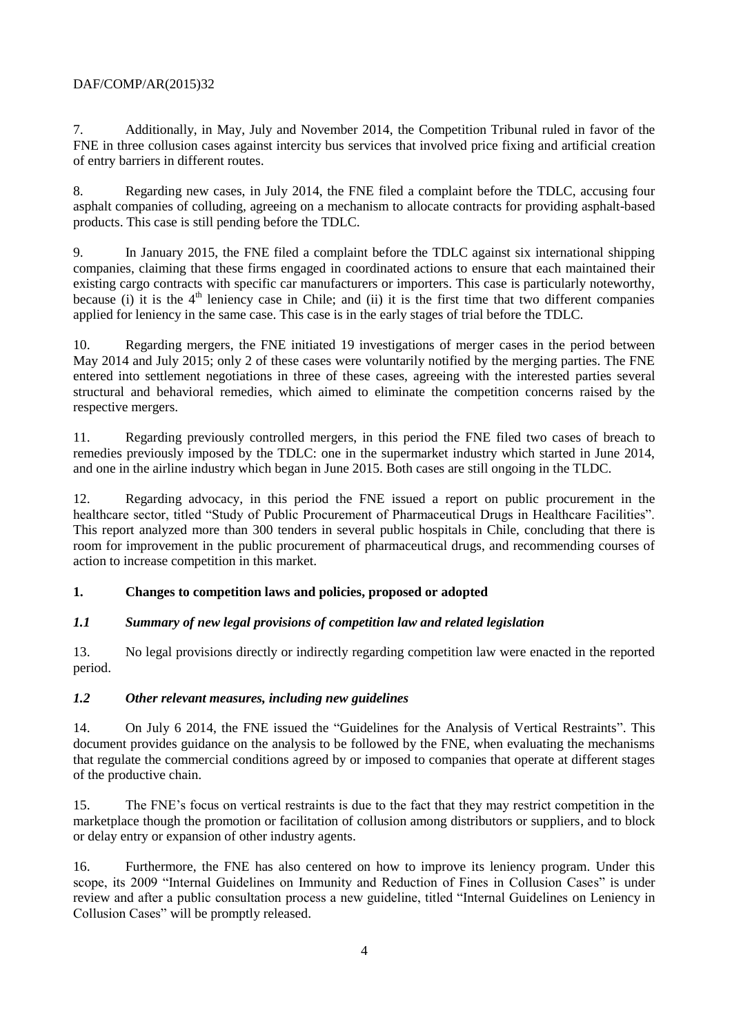7. Additionally, in May, July and November 2014, the Competition Tribunal ruled in favor of the FNE in three collusion cases against intercity bus services that involved price fixing and artificial creation of entry barriers in different routes.

8. Regarding new cases, in July 2014, the FNE filed a complaint before the TDLC, accusing four asphalt companies of colluding, agreeing on a mechanism to allocate contracts for providing asphalt-based products. This case is still pending before the TDLC.

9. In January 2015, the FNE filed a complaint before the TDLC against six international shipping companies, claiming that these firms engaged in coordinated actions to ensure that each maintained their existing cargo contracts with specific car manufacturers or importers. This case is particularly noteworthy, because (i) it is the  $4<sup>th</sup>$  leniency case in Chile; and (ii) it is the first time that two different companies applied for leniency in the same case. This case is in the early stages of trial before the TDLC.

10. Regarding mergers, the FNE initiated 19 investigations of merger cases in the period between May 2014 and July 2015; only 2 of these cases were voluntarily notified by the merging parties. The FNE entered into settlement negotiations in three of these cases, agreeing with the interested parties several structural and behavioral remedies, which aimed to eliminate the competition concerns raised by the respective mergers.

11. Regarding previously controlled mergers, in this period the FNE filed two cases of breach to remedies previously imposed by the TDLC: one in the supermarket industry which started in June 2014, and one in the airline industry which began in June 2015. Both cases are still ongoing in the TLDC.

12. Regarding advocacy, in this period the FNE issued a report on public procurement in the healthcare sector, titled "Study of Public Procurement of Pharmaceutical Drugs in Healthcare Facilities". This report analyzed more than 300 tenders in several public hospitals in Chile, concluding that there is room for improvement in the public procurement of pharmaceutical drugs, and recommending courses of action to increase competition in this market.

# <span id="page-3-0"></span>**1. Changes to competition laws and policies, proposed or adopted**

# <span id="page-3-1"></span>*1.1 Summary of new legal provisions of competition law and related legislation*

13. No legal provisions directly or indirectly regarding competition law were enacted in the reported period.

# <span id="page-3-2"></span>*1.2 Other relevant measures, including new guidelines*

14. On July 6 2014, the FNE issued the "Guidelines for the Analysis of Vertical Restraints". This document provides guidance on the analysis to be followed by the FNE, when evaluating the mechanisms that regulate the commercial conditions agreed by or imposed to companies that operate at different stages of the productive chain.

15. The FNE's focus on vertical restraints is due to the fact that they may restrict competition in the marketplace though the promotion or facilitation of collusion among distributors or suppliers, and to block or delay entry or expansion of other industry agents.

16. Furthermore, the FNE has also centered on how to improve its leniency program. Under this scope, its 2009 "Internal Guidelines on Immunity and Reduction of Fines in Collusion Cases" is under review and after a public consultation process a new guideline, titled "Internal Guidelines on Leniency in Collusion Cases" will be promptly released.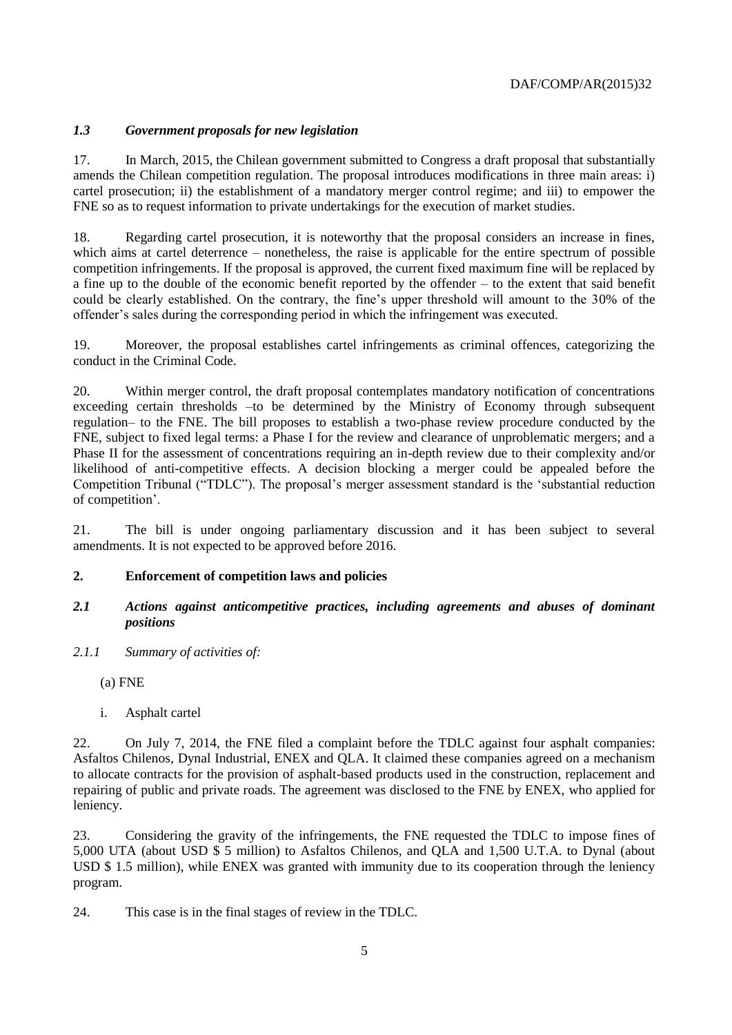# <span id="page-4-0"></span>*1.3 Government proposals for new legislation*

17. In March, 2015, the Chilean government submitted to Congress a draft proposal that substantially amends the Chilean competition regulation. The proposal introduces modifications in three main areas: i) cartel prosecution; ii) the establishment of a mandatory merger control regime; and iii) to empower the FNE so as to request information to private undertakings for the execution of market studies.

18. Regarding cartel prosecution, it is noteworthy that the proposal considers an increase in fines, which aims at cartel deterrence – nonetheless, the raise is applicable for the entire spectrum of possible competition infringements. If the proposal is approved, the current fixed maximum fine will be replaced by a fine up to the double of the economic benefit reported by the offender – to the extent that said benefit could be clearly established. On the contrary, the fine's upper threshold will amount to the 30% of the offender's sales during the corresponding period in which the infringement was executed.

19. Moreover, the proposal establishes cartel infringements as criminal offences, categorizing the conduct in the Criminal Code.

20. Within merger control, the draft proposal contemplates mandatory notification of concentrations exceeding certain thresholds –to be determined by the Ministry of Economy through subsequent regulation– to the FNE. The bill proposes to establish a two-phase review procedure conducted by the FNE, subject to fixed legal terms: a Phase I for the review and clearance of unproblematic mergers; and a Phase II for the assessment of concentrations requiring an in-depth review due to their complexity and/or likelihood of anti-competitive effects. A decision blocking a merger could be appealed before the Competition Tribunal ("TDLC"). The proposal's merger assessment standard is the 'substantial reduction of competition'.

21. The bill is under ongoing parliamentary discussion and it has been subject to several amendments. It is not expected to be approved before 2016.

#### <span id="page-4-1"></span>**2. Enforcement of competition laws and policies**

## <span id="page-4-2"></span>*2.1 Actions against anticompetitive practices, including agreements and abuses of dominant positions*

*2.1.1 Summary of activities of:* 

(a) FNE

i. Asphalt cartel

22. On July 7, 2014, the FNE filed a complaint before the TDLC against four asphalt companies: Asfaltos Chilenos, Dynal Industrial, ENEX and QLA. It claimed these companies agreed on a mechanism to allocate contracts for the provision of asphalt-based products used in the construction, replacement and repairing of public and private roads. The agreement was disclosed to the FNE by ENEX, who applied for leniency.

23. Considering the gravity of the infringements, the FNE requested the TDLC to impose fines of 5,000 UTA (about USD \$ 5 million) to Asfaltos Chilenos, and QLA and 1,500 U.T.A. to Dynal (about USD \$ 1.5 million), while ENEX was granted with immunity due to its cooperation through the leniency program.

24. This case is in the final stages of review in the TDLC.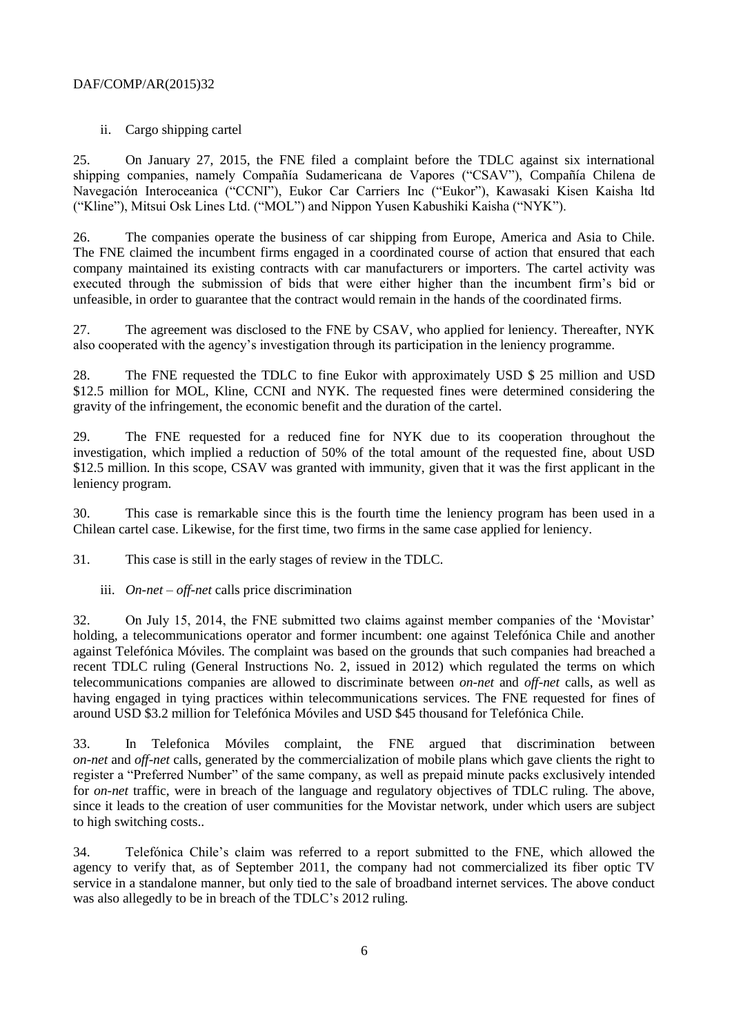ii. Cargo shipping cartel

25. On January 27, 2015, the FNE filed a complaint before the TDLC against six international shipping companies, namely Compañía Sudamericana de Vapores ("CSAV"), Compañía Chilena de Navegación Interoceanica ("CCNI"), Eukor Car Carriers Inc ("Eukor"), Kawasaki Kisen Kaisha ltd ("Kline"), Mitsui Osk Lines Ltd. ("MOL") and Nippon Yusen Kabushiki Kaisha ("NYK").

26. The companies operate the business of car shipping from Europe, America and Asia to Chile. The FNE claimed the incumbent firms engaged in a coordinated course of action that ensured that each company maintained its existing contracts with car manufacturers or importers. The cartel activity was executed through the submission of bids that were either higher than the incumbent firm's bid or unfeasible, in order to guarantee that the contract would remain in the hands of the coordinated firms.

27. The agreement was disclosed to the FNE by CSAV, who applied for leniency. Thereafter, NYK also cooperated with the agency's investigation through its participation in the leniency programme.

28. The FNE requested the TDLC to fine Eukor with approximately USD \$ 25 million and USD \$12.5 million for MOL, Kline, CCNI and NYK. The requested fines were determined considering the gravity of the infringement, the economic benefit and the duration of the cartel.

29. The FNE requested for a reduced fine for NYK due to its cooperation throughout the investigation, which implied a reduction of 50% of the total amount of the requested fine, about USD \$12.5 million. In this scope, CSAV was granted with immunity, given that it was the first applicant in the leniency program.

30. This case is remarkable since this is the fourth time the leniency program has been used in a Chilean cartel case. Likewise, for the first time, two firms in the same case applied for leniency.

31. This case is still in the early stages of review in the TDLC.

iii. *On-net* – *off-net* calls price discrimination

32. On July 15, 2014, the FNE submitted two claims against member companies of the 'Movistar' holding, a telecommunications operator and former incumbent: one against Telefónica Chile and another against Telefónica Móviles. The complaint was based on the grounds that such companies had breached a recent TDLC ruling (General Instructions No. 2, issued in 2012) which regulated the terms on which telecommunications companies are allowed to discriminate between *on-net* and *off-net* calls, as well as having engaged in tying practices within telecommunications services. The FNE requested for fines of around USD \$3.2 million for Telefónica Móviles and USD \$45 thousand for Telefónica Chile.

33. In Telefonica Móviles complaint, the FNE argued that discrimination between *on-net* and *off-net* calls, generated by the commercialization of mobile plans which gave clients the right to register a "Preferred Number" of the same company, as well as prepaid minute packs exclusively intended for *on-net* traffic, were in breach of the language and regulatory objectives of TDLC ruling. The above, since it leads to the creation of user communities for the Movistar network, under which users are subject to high switching costs..

34. Telefónica Chile's claim was referred to a report submitted to the FNE, which allowed the agency to verify that, as of September 2011, the company had not commercialized its fiber optic TV service in a standalone manner, but only tied to the sale of broadband internet services. The above conduct was also allegedly to be in breach of the TDLC's 2012 ruling.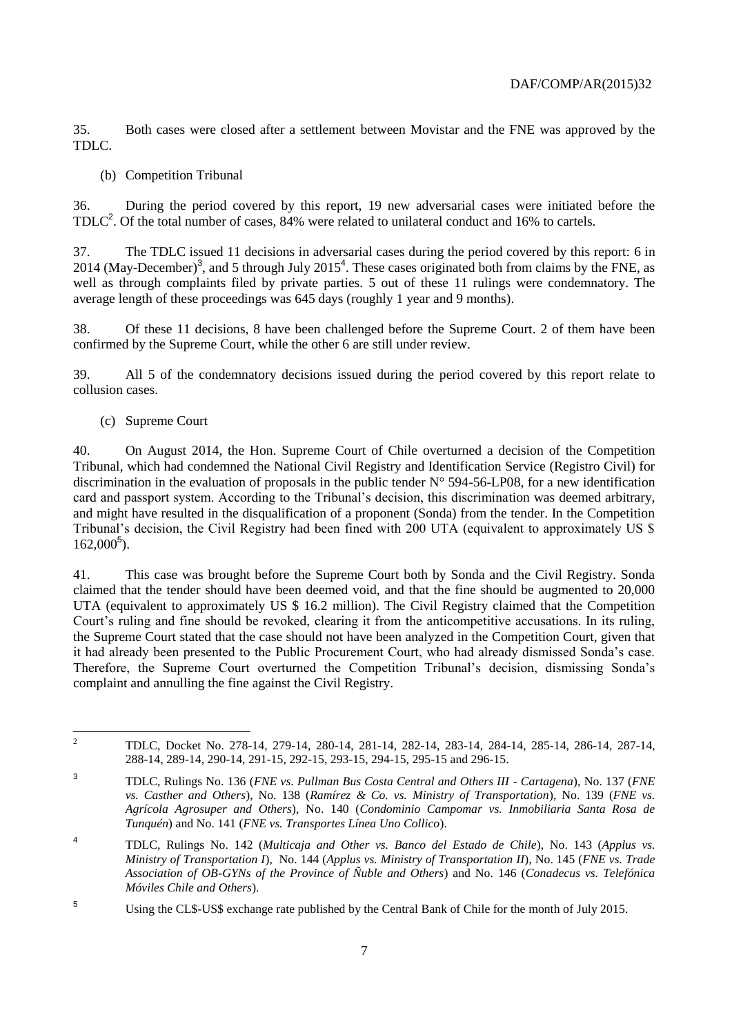35. Both cases were closed after a settlement between Movistar and the FNE was approved by the TDLC.

(b) Competition Tribunal

36. During the period covered by this report, 19 new adversarial cases were initiated before the TDLC<sup>2</sup>. Of the total number of cases, 84% were related to unilateral conduct and 16% to cartels.

37. The TDLC issued 11 decisions in adversarial cases during the period covered by this report: 6 in 2014 (May-December)<sup>3</sup>, and 5 through July 2015<sup>4</sup>. These cases originated both from claims by the FNE, as well as through complaints filed by private parties. 5 out of these 11 rulings were condemnatory. The average length of these proceedings was 645 days (roughly 1 year and 9 months).

38. Of these 11 decisions, 8 have been challenged before the Supreme Court. 2 of them have been confirmed by the Supreme Court, while the other 6 are still under review.

39. All 5 of the condemnatory decisions issued during the period covered by this report relate to collusion cases.

(c) Supreme Court

40. On August 2014, the Hon. Supreme Court of Chile overturned a decision of the Competition Tribunal, which had condemned the National Civil Registry and Identification Service (Registro Civil) for discrimination in the evaluation of proposals in the public tender  $N^{\circ}$  594-56-LP08, for a new identification card and passport system. According to the Tribunal's decision, this discrimination was deemed arbitrary, and might have resulted in the disqualification of a proponent (Sonda) from the tender. In the Competition Tribunal's decision, the Civil Registry had been fined with 200 UTA (equivalent to approximately US \$  $162,000^5$ ).

41. This case was brought before the Supreme Court both by Sonda and the Civil Registry. Sonda claimed that the tender should have been deemed void, and that the fine should be augmented to 20,000 UTA (equivalent to approximately US \$ 16.2 million). The Civil Registry claimed that the Competition Court's ruling and fine should be revoked, clearing it from the anticompetitive accusations. In its ruling, the Supreme Court stated that the case should not have been analyzed in the Competition Court, given that it had already been presented to the Public Procurement Court, who had already dismissed Sonda's case. Therefore, the Supreme Court overturned the Competition Tribunal's decision, dismissing Sonda's complaint and annulling the fine against the Civil Registry.

 $\overline{c}$ <sup>2</sup> TDLC, Docket No. 278-14, 279-14, 280-14, 281-14, 282-14, 283-14, 284-14, 285-14, 286-14, 287-14, 288-14, 289-14, 290-14, 291-15, 292-15, 293-15, 294-15, 295-15 and 296-15.

<sup>3</sup> TDLC, Rulings No. 136 (*FNE vs. Pullman Bus Costa Central and Others III - Cartagena*), No. 137 (*FNE vs. Casther and Others*), No. 138 (*Ramírez & Co. vs. Ministry of Transportation*), No. 139 (*FNE vs. Agrícola Agrosuper and Others*), No. 140 (*Condominio Campomar vs. Inmobiliaria Santa Rosa de Tunquén*) and No. 141 (*FNE vs. Transportes Línea Uno Collico*).

<sup>4</sup> TDLC, Rulings No. 142 (*Multicaja and Other vs. Banco del Estado de Chile*), No. 143 (*Applus vs. Ministry of Transportation I*), No. 144 (*Applus vs. Ministry of Transportation II*), No. 145 (*FNE vs. Trade Association of OB-GYNs of the Province of Ñuble and Others*) and No. 146 (*Conadecus vs. Telefónica Móviles Chile and Others*).

<sup>5</sup> Using the CL\$-US\$ exchange rate published by the Central Bank of Chile for the month of July 2015.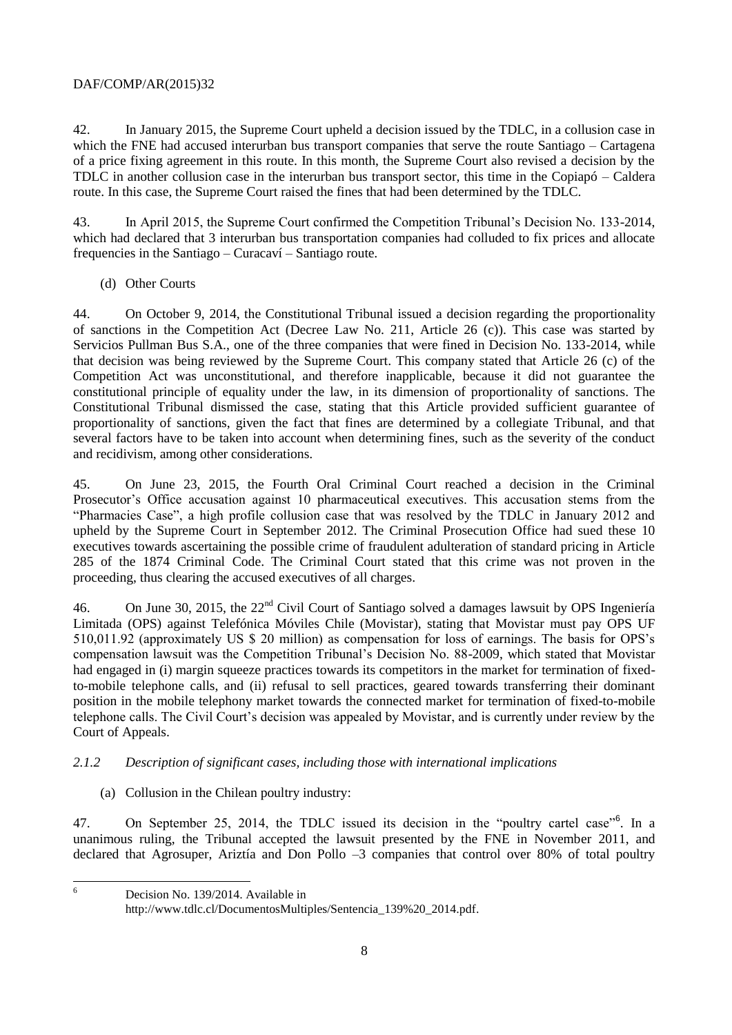42. In January 2015, the Supreme Court upheld a decision issued by the TDLC, in a collusion case in which the FNE had accused interurban bus transport companies that serve the route Santiago – Cartagena of a price fixing agreement in this route. In this month, the Supreme Court also revised a decision by the TDLC in another collusion case in the interurban bus transport sector, this time in the Copiapó – Caldera route. In this case, the Supreme Court raised the fines that had been determined by the TDLC.

43. In April 2015, the Supreme Court confirmed the Competition Tribunal's Decision No. 133-2014, which had declared that 3 interurban bus transportation companies had colluded to fix prices and allocate frequencies in the Santiago – Curacaví – Santiago route.

# (d) Other Courts

44. On October 9, 2014, the Constitutional Tribunal issued a decision regarding the proportionality of sanctions in the Competition Act (Decree Law No. 211, Article 26 (c)). This case was started by Servicios Pullman Bus S.A., one of the three companies that were fined in Decision No. 133-2014, while that decision was being reviewed by the Supreme Court. This company stated that Article 26 (c) of the Competition Act was unconstitutional, and therefore inapplicable, because it did not guarantee the constitutional principle of equality under the law, in its dimension of proportionality of sanctions. The Constitutional Tribunal dismissed the case, stating that this Article provided sufficient guarantee of proportionality of sanctions, given the fact that fines are determined by a collegiate Tribunal, and that several factors have to be taken into account when determining fines, such as the severity of the conduct and recidivism, among other considerations.

45. On June 23, 2015, the Fourth Oral Criminal Court reached a decision in the Criminal Prosecutor's Office accusation against 10 pharmaceutical executives. This accusation stems from the "Pharmacies Case", a high profile collusion case that was resolved by the TDLC in January 2012 and upheld by the Supreme Court in September 2012. The Criminal Prosecution Office had sued these 10 executives towards ascertaining the possible crime of fraudulent adulteration of standard pricing in Article 285 of the 1874 Criminal Code. The Criminal Court stated that this crime was not proven in the proceeding, thus clearing the accused executives of all charges.

46. On June 30, 2015, the 22<sup>nd</sup> Civil Court of Santiago solved a damages lawsuit by OPS Ingeniería Limitada (OPS) against Telefónica Móviles Chile (Movistar), stating that Movistar must pay OPS UF 510,011.92 (approximately US \$ 20 million) as compensation for loss of earnings. The basis for OPS's compensation lawsuit was the Competition Tribunal's Decision No. 88-2009, which stated that Movistar had engaged in (i) margin squeeze practices towards its competitors in the market for termination of fixedto-mobile telephone calls, and (ii) refusal to sell practices, geared towards transferring their dominant position in the mobile telephony market towards the connected market for termination of fixed-to-mobile telephone calls. The Civil Court's decision was appealed by Movistar, and is currently under review by the Court of Appeals.

# *2.1.2 Description of significant cases, including those with international implications*

(a) Collusion in the Chilean poultry industry:

47. On September 25, 2014, the TDLC issued its decision in the "poultry cartel case"<sup>6</sup>. In a unanimous ruling, the Tribunal accepted the lawsuit presented by the FNE in November 2011, and declared that Agrosuper, Ariztía and Don Pollo –3 companies that control over 80% of total poultry

 $6\overline{6}$ 

Decision No. 139/2014. Available in

[http://www.tdlc.cl/DocumentosMultiples/Sentencia\\_139%20\\_2014.pdf.](http://www.tdlc.cl/DocumentosMultiples/Sentencia_139%20_2014.pdf)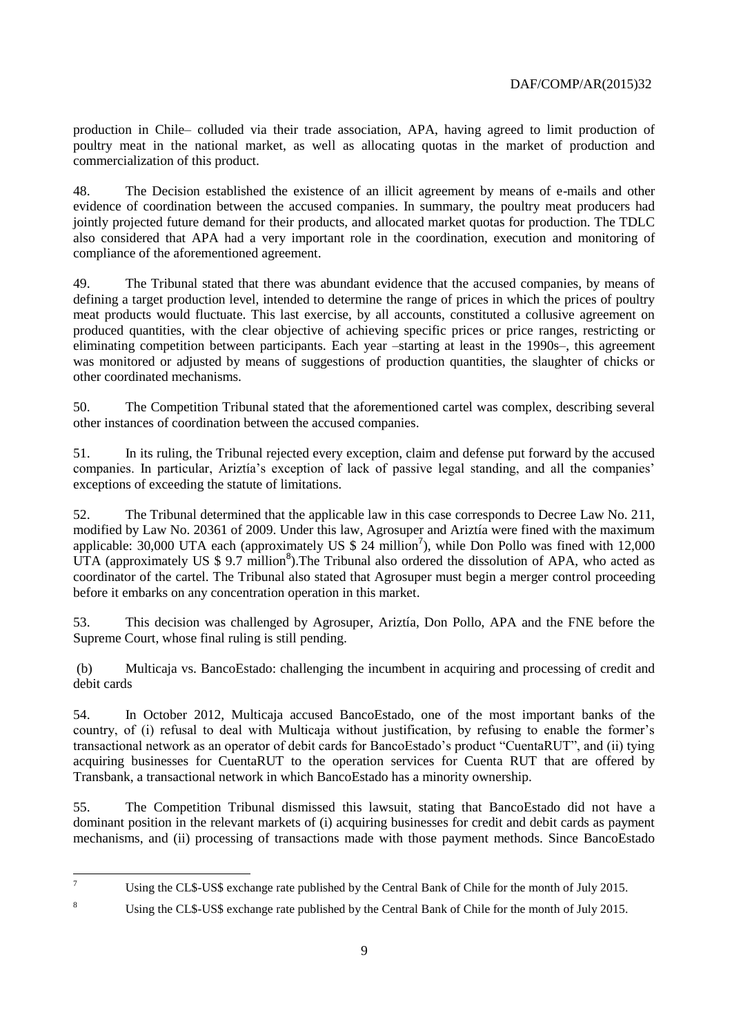production in Chile– colluded via their trade association, APA, having agreed to limit production of poultry meat in the national market, as well as allocating quotas in the market of production and commercialization of this product.

48. The Decision established the existence of an illicit agreement by means of e-mails and other evidence of coordination between the accused companies. In summary, the poultry meat producers had jointly projected future demand for their products, and allocated market quotas for production. The TDLC also considered that APA had a very important role in the coordination, execution and monitoring of compliance of the aforementioned agreement.

49. The Tribunal stated that there was abundant evidence that the accused companies, by means of defining a target production level, intended to determine the range of prices in which the prices of poultry meat products would fluctuate. This last exercise, by all accounts, constituted a collusive agreement on produced quantities, with the clear objective of achieving specific prices or price ranges, restricting or eliminating competition between participants. Each year –starting at least in the 1990s–, this agreement was monitored or adjusted by means of suggestions of production quantities, the slaughter of chicks or other coordinated mechanisms.

50. The Competition Tribunal stated that the aforementioned cartel was complex, describing several other instances of coordination between the accused companies.

51. In its ruling, the Tribunal rejected every exception, claim and defense put forward by the accused companies. In particular, Ariztía's exception of lack of passive legal standing, and all the companies' exceptions of exceeding the statute of limitations.

52. The Tribunal determined that the applicable law in this case corresponds to Decree Law No. 211, modified by Law No. 20361 of 2009. Under this law, Agrosuper and Ariztía were fined with the maximum applicable: 30,000 UTA each (approximately US  $$24$  million<sup>7</sup>), while Don Pollo was fined with 12,000 UTA (approximately US  $$ 9.7$  million<sup>8</sup>). The Tribunal also ordered the dissolution of APA, who acted as coordinator of the cartel. The Tribunal also stated that Agrosuper must begin a merger control proceeding before it embarks on any concentration operation in this market.

53. This decision was challenged by Agrosuper, Ariztía, Don Pollo, APA and the FNE before the Supreme Court, whose final ruling is still pending.

(b) Multicaja vs. BancoEstado: challenging the incumbent in acquiring and processing of credit and debit cards

54. In October 2012, Multicaja accused BancoEstado, one of the most important banks of the country, of (i) refusal to deal with Multicaja without justification, by refusing to enable the former's transactional network as an operator of debit cards for BancoEstado's product "CuentaRUT", and (ii) tying acquiring businesses for CuentaRUT to the operation services for Cuenta RUT that are offered by Transbank, a transactional network in which BancoEstado has a minority ownership.

55. The Competition Tribunal dismissed this lawsuit, stating that BancoEstado did not have a dominant position in the relevant markets of (i) acquiring businesses for credit and debit cards as payment mechanisms, and (ii) processing of transactions made with those payment methods. Since BancoEstado

<sup>8</sup> Using the CL\$-US\$ exchange rate published by the Central Bank of Chile for the month of July 2015.

 $\overline{7}$ Using the CL\$-US\$ exchange rate published by the Central Bank of Chile for the month of July 2015.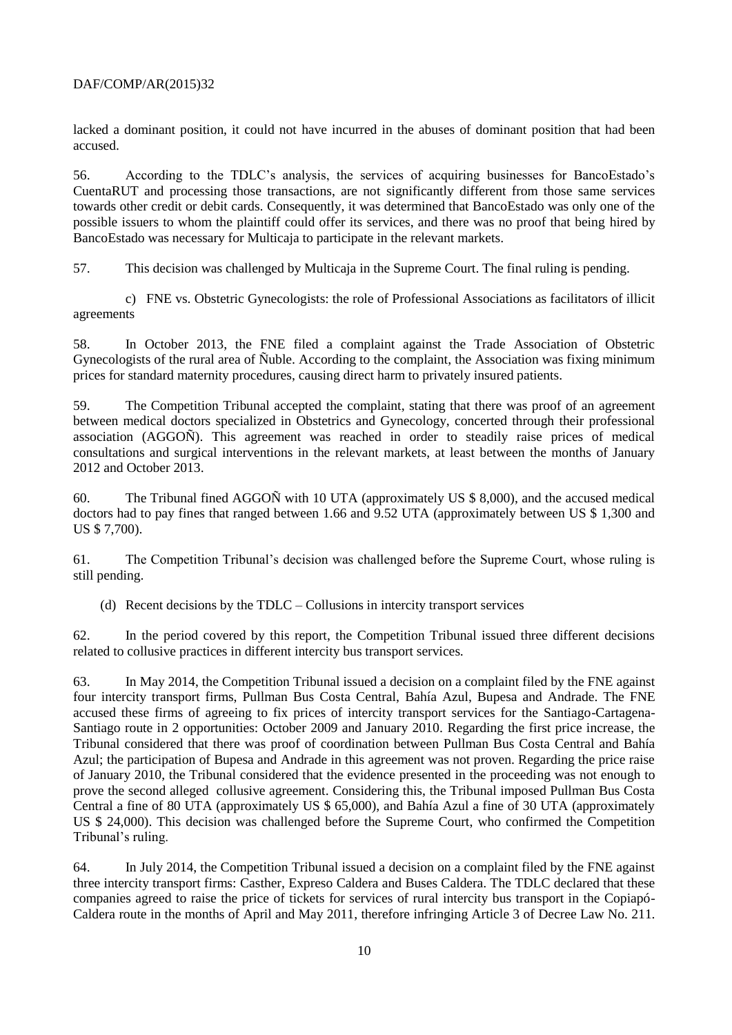lacked a dominant position, it could not have incurred in the abuses of dominant position that had been accused.

56. According to the TDLC's analysis, the services of acquiring businesses for BancoEstado's CuentaRUT and processing those transactions, are not significantly different from those same services towards other credit or debit cards. Consequently, it was determined that BancoEstado was only one of the possible issuers to whom the plaintiff could offer its services, and there was no proof that being hired by BancoEstado was necessary for Multicaja to participate in the relevant markets.

57. This decision was challenged by Multicaja in the Supreme Court. The final ruling is pending.

c) FNE vs. Obstetric Gynecologists: the role of Professional Associations as facilitators of illicit agreements

58. In October 2013, the FNE filed a complaint against the Trade Association of Obstetric Gynecologists of the rural area of Ñuble. According to the complaint, the Association was fixing minimum prices for standard maternity procedures, causing direct harm to privately insured patients.

59. The Competition Tribunal accepted the complaint, stating that there was proof of an agreement between medical doctors specialized in Obstetrics and Gynecology, concerted through their professional association (AGGOÑ). This agreement was reached in order to steadily raise prices of medical consultations and surgical interventions in the relevant markets, at least between the months of January 2012 and October 2013.

60. The Tribunal fined AGGOÑ with 10 UTA (approximately US \$ 8,000), and the accused medical doctors had to pay fines that ranged between 1.66 and 9.52 UTA (approximately between US \$ 1,300 and US \$ 7,700).

61. The Competition Tribunal's decision was challenged before the Supreme Court, whose ruling is still pending.

(d) Recent decisions by the TDLC – Collusions in intercity transport services

62. In the period covered by this report, the Competition Tribunal issued three different decisions related to collusive practices in different intercity bus transport services.

63. In May 2014, the Competition Tribunal issued a decision on a complaint filed by the FNE against four intercity transport firms, Pullman Bus Costa Central, Bahía Azul, Bupesa and Andrade. The FNE accused these firms of agreeing to fix prices of intercity transport services for the Santiago-Cartagena-Santiago route in 2 opportunities: October 2009 and January 2010. Regarding the first price increase, the Tribunal considered that there was proof of coordination between Pullman Bus Costa Central and Bahía Azul; the participation of Bupesa and Andrade in this agreement was not proven. Regarding the price raise of January 2010, the Tribunal considered that the evidence presented in the proceeding was not enough to prove the second alleged collusive agreement. Considering this, the Tribunal imposed Pullman Bus Costa Central a fine of 80 UTA (approximately US \$ 65,000), and Bahía Azul a fine of 30 UTA (approximately US \$ 24,000). This decision was challenged before the Supreme Court, who confirmed the Competition Tribunal's ruling.

64. In July 2014, the Competition Tribunal issued a decision on a complaint filed by the FNE against three intercity transport firms: Casther, Expreso Caldera and Buses Caldera. The TDLC declared that these companies agreed to raise the price of tickets for services of rural intercity bus transport in the Copiapó-Caldera route in the months of April and May 2011, therefore infringing Article 3 of Decree Law No. 211.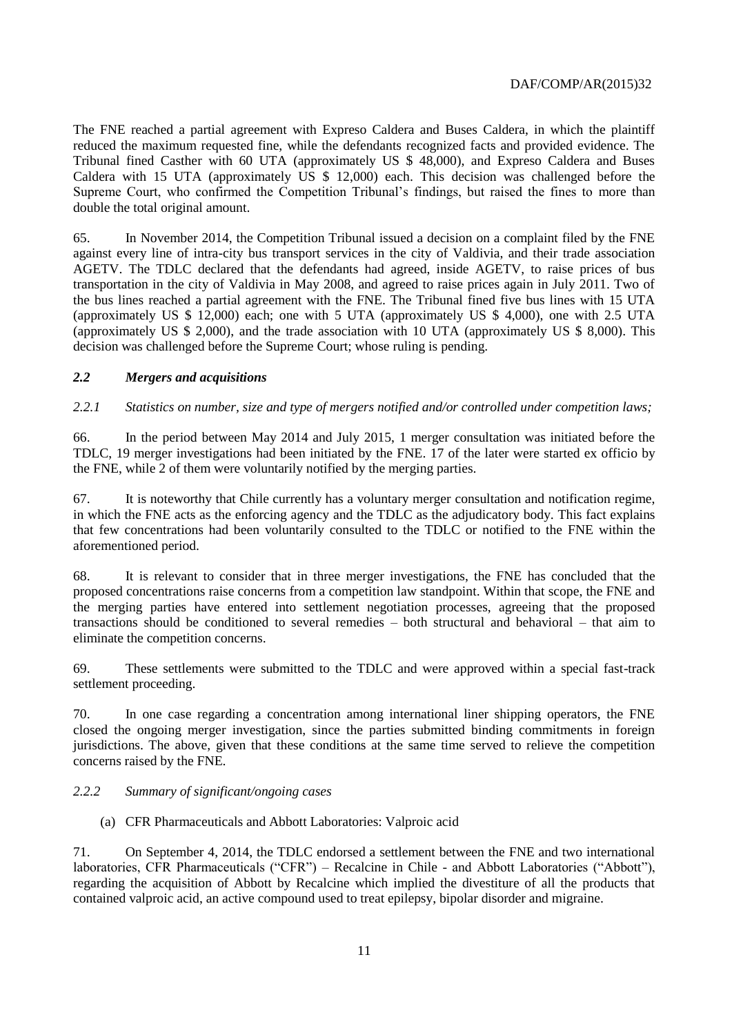The FNE reached a partial agreement with Expreso Caldera and Buses Caldera, in which the plaintiff reduced the maximum requested fine, while the defendants recognized facts and provided evidence. The Tribunal fined Casther with 60 UTA (approximately US \$ 48,000), and Expreso Caldera and Buses Caldera with 15 UTA (approximately US \$ 12,000) each. This decision was challenged before the Supreme Court, who confirmed the Competition Tribunal's findings, but raised the fines to more than double the total original amount.

65. In November 2014, the Competition Tribunal issued a decision on a complaint filed by the FNE against every line of intra-city bus transport services in the city of Valdivia, and their trade association AGETV. The TDLC declared that the defendants had agreed, inside AGETV, to raise prices of bus transportation in the city of Valdivia in May 2008, and agreed to raise prices again in July 2011. Two of the bus lines reached a partial agreement with the FNE. The Tribunal fined five bus lines with 15 UTA (approximately US \$ 12,000) each; one with 5 UTA (approximately US \$ 4,000), one with 2.5 UTA (approximately US \$ 2,000), and the trade association with 10 UTA (approximately US \$ 8,000). This decision was challenged before the Supreme Court; whose ruling is pending.

#### <span id="page-10-0"></span>*2.2 Mergers and acquisitions*

#### *2.2.1 Statistics on number, size and type of mergers notified and/or controlled under competition laws;*

66. In the period between May 2014 and July 2015, 1 merger consultation was initiated before the TDLC, 19 merger investigations had been initiated by the FNE. 17 of the later were started ex officio by the FNE, while 2 of them were voluntarily notified by the merging parties.

67. It is noteworthy that Chile currently has a voluntary merger consultation and notification regime, in which the FNE acts as the enforcing agency and the TDLC as the adjudicatory body. This fact explains that few concentrations had been voluntarily consulted to the TDLC or notified to the FNE within the aforementioned period.

68. It is relevant to consider that in three merger investigations, the FNE has concluded that the proposed concentrations raise concerns from a competition law standpoint. Within that scope, the FNE and the merging parties have entered into settlement negotiation processes, agreeing that the proposed transactions should be conditioned to several remedies – both structural and behavioral – that aim to eliminate the competition concerns.

69. These settlements were submitted to the TDLC and were approved within a special fast-track settlement proceeding.

70. In one case regarding a concentration among international liner shipping operators, the FNE closed the ongoing merger investigation, since the parties submitted binding commitments in foreign jurisdictions. The above, given that these conditions at the same time served to relieve the competition concerns raised by the FNE.

#### *2.2.2 Summary of significant/ongoing cases*

(a) CFR Pharmaceuticals and Abbott Laboratories: Valproic acid

71. On September 4, 2014, the TDLC endorsed a settlement between the FNE and two international laboratories, CFR Pharmaceuticals ("CFR") – Recalcine in Chile - and Abbott Laboratories ("Abbott"), regarding the acquisition of Abbott by Recalcine which implied the divestiture of all the products that contained valproic acid, an active compound used to treat epilepsy, bipolar disorder and migraine.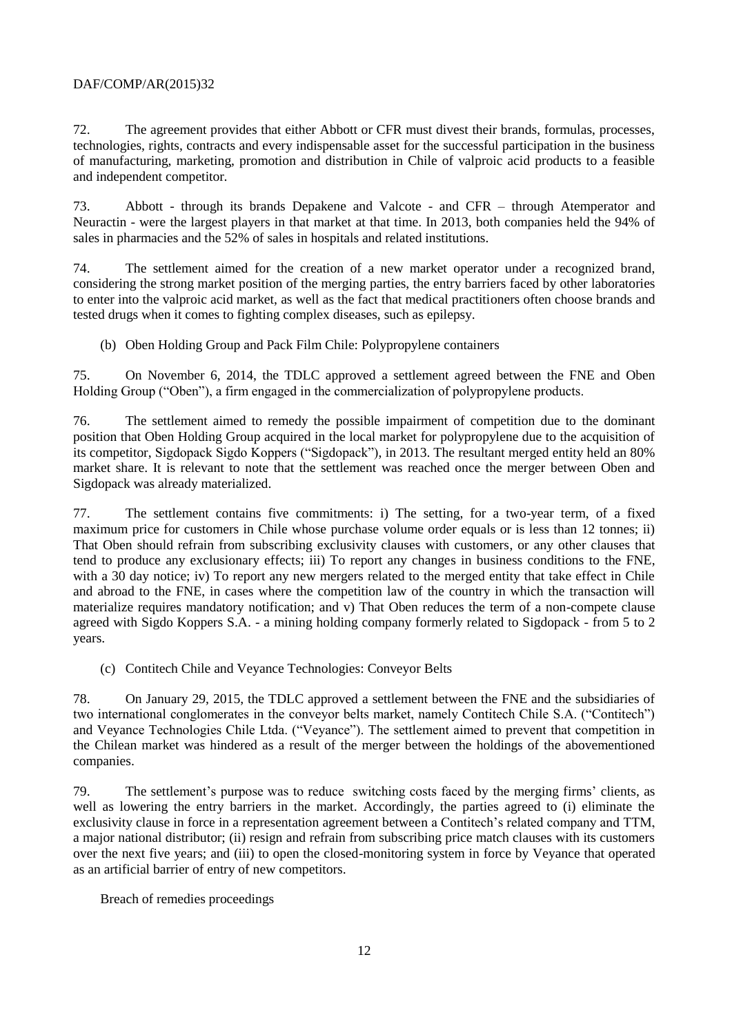72. The agreement provides that either Abbott or CFR must divest their brands, formulas, processes, technologies, rights, contracts and every indispensable asset for the successful participation in the business of manufacturing, marketing, promotion and distribution in Chile of valproic acid products to a feasible and independent competitor.

73. Abbott - through its brands Depakene and Valcote - and CFR – through Atemperator and Neuractin - were the largest players in that market at that time. In 2013, both companies held the 94% of sales in pharmacies and the 52% of sales in hospitals and related institutions.

74. The settlement aimed for the creation of a new market operator under a recognized brand, considering the strong market position of the merging parties, the entry barriers faced by other laboratories to enter into the valproic acid market, as well as the fact that medical practitioners often choose brands and tested drugs when it comes to fighting complex diseases, such as epilepsy.

(b) Oben Holding Group and Pack Film Chile: Polypropylene containers

75. On November 6, 2014, the TDLC approved a settlement agreed between the FNE and Oben Holding Group ("Oben"), a firm engaged in the commercialization of polypropylene products.

76. The settlement aimed to remedy the possible impairment of competition due to the dominant position that Oben Holding Group acquired in the local market for polypropylene due to the acquisition of its competitor, Sigdopack Sigdo Koppers ("Sigdopack"), in 2013. The resultant merged entity held an 80% market share. It is relevant to note that the settlement was reached once the merger between Oben and Sigdopack was already materialized.

77. The settlement contains five commitments: i) The setting, for a two-year term, of a fixed maximum price for customers in Chile whose purchase volume order equals or is less than 12 tonnes; ii) That Oben should refrain from subscribing exclusivity clauses with customers, or any other clauses that tend to produce any exclusionary effects; iii) To report any changes in business conditions to the FNE, with a 30 day notice; iv) To report any new mergers related to the merged entity that take effect in Chile and abroad to the FNE, in cases where the competition law of the country in which the transaction will materialize requires mandatory notification; and v) That Oben reduces the term of a non-compete clause agreed with Sigdo Koppers S.A. - a mining holding company formerly related to Sigdopack - from 5 to 2 years.

(c) Contitech Chile and Veyance Technologies: Conveyor Belts

78. On January 29, 2015, the TDLC approved a settlement between the FNE and the subsidiaries of two international conglomerates in the conveyor belts market, namely Contitech Chile S.A. ("Contitech") and Veyance Technologies Chile Ltda. ("Veyance"). The settlement aimed to prevent that competition in the Chilean market was hindered as a result of the merger between the holdings of the abovementioned companies.

79. The settlement's purpose was to reduce switching costs faced by the merging firms' clients, as well as lowering the entry barriers in the market. Accordingly, the parties agreed to (i) eliminate the exclusivity clause in force in a representation agreement between a Contitech's related company and TTM, a major national distributor; (ii) resign and refrain from subscribing price match clauses with its customers over the next five years; and (iii) to open the closed-monitoring system in force by Veyance that operated as an artificial barrier of entry of new competitors.

Breach of remedies proceedings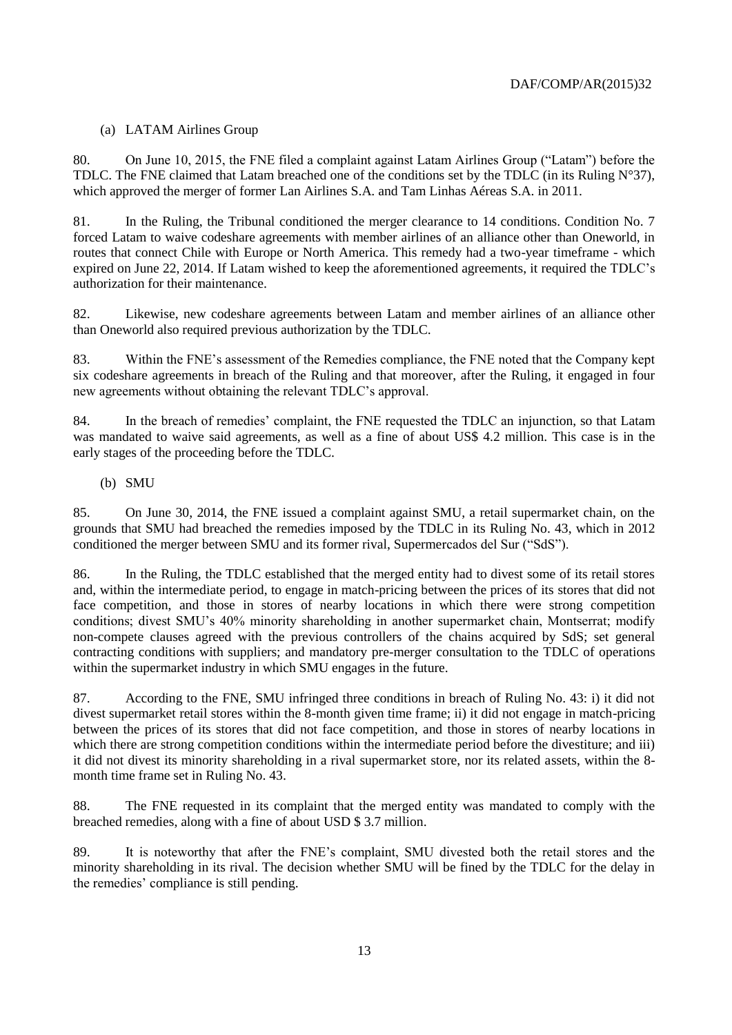# (a) LATAM Airlines Group

80. On June 10, 2015, the FNE filed a complaint against Latam Airlines Group ("Latam") before the TDLC. The FNE claimed that Latam breached one of the conditions set by the TDLC (in its Ruling  $N^{\circ}37$ ), which approved the merger of former Lan Airlines S.A. and Tam Linhas Aéreas S.A. in 2011.

81. In the Ruling, the Tribunal conditioned the merger clearance to 14 conditions. Condition No. 7 forced Latam to waive codeshare agreements with member airlines of an alliance other than Oneworld, in routes that connect Chile with Europe or North America. This remedy had a two-year timeframe - which expired on June 22, 2014. If Latam wished to keep the aforementioned agreements, it required the TDLC's authorization for their maintenance.

82. Likewise, new codeshare agreements between Latam and member airlines of an alliance other than Oneworld also required previous authorization by the TDLC.

83. Within the FNE's assessment of the Remedies compliance, the FNE noted that the Company kept six codeshare agreements in breach of the Ruling and that moreover, after the Ruling, it engaged in four new agreements without obtaining the relevant TDLC's approval.

84. In the breach of remedies' complaint, the FNE requested the TDLC an injunction, so that Latam was mandated to waive said agreements, as well as a fine of about US\$ 4.2 million. This case is in the early stages of the proceeding before the TDLC.

#### (b) SMU

85. On June 30, 2014, the FNE issued a complaint against SMU, a retail supermarket chain, on the grounds that SMU had breached the remedies imposed by the TDLC in its Ruling No. 43, which in 2012 conditioned the merger between SMU and its former rival, Supermercados del Sur ("SdS").

86. In the Ruling, the TDLC established that the merged entity had to divest some of its retail stores and, within the intermediate period, to engage in match-pricing between the prices of its stores that did not face competition, and those in stores of nearby locations in which there were strong competition conditions; divest SMU's 40% minority shareholding in another supermarket chain, Montserrat; modify non-compete clauses agreed with the previous controllers of the chains acquired by SdS; set general contracting conditions with suppliers; and mandatory pre-merger consultation to the TDLC of operations within the supermarket industry in which SMU engages in the future.

87. According to the FNE, SMU infringed three conditions in breach of Ruling No. 43: i) it did not divest supermarket retail stores within the 8-month given time frame; ii) it did not engage in match-pricing between the prices of its stores that did not face competition, and those in stores of nearby locations in which there are strong competition conditions within the intermediate period before the divestiture; and iii) it did not divest its minority shareholding in a rival supermarket store, nor its related assets, within the 8 month time frame set in Ruling No. 43.

88. The FNE requested in its complaint that the merged entity was mandated to comply with the breached remedies, along with a fine of about USD \$ 3.7 million.

89. It is noteworthy that after the FNE's complaint, SMU divested both the retail stores and the minority shareholding in its rival. The decision whether SMU will be fined by the TDLC for the delay in the remedies' compliance is still pending.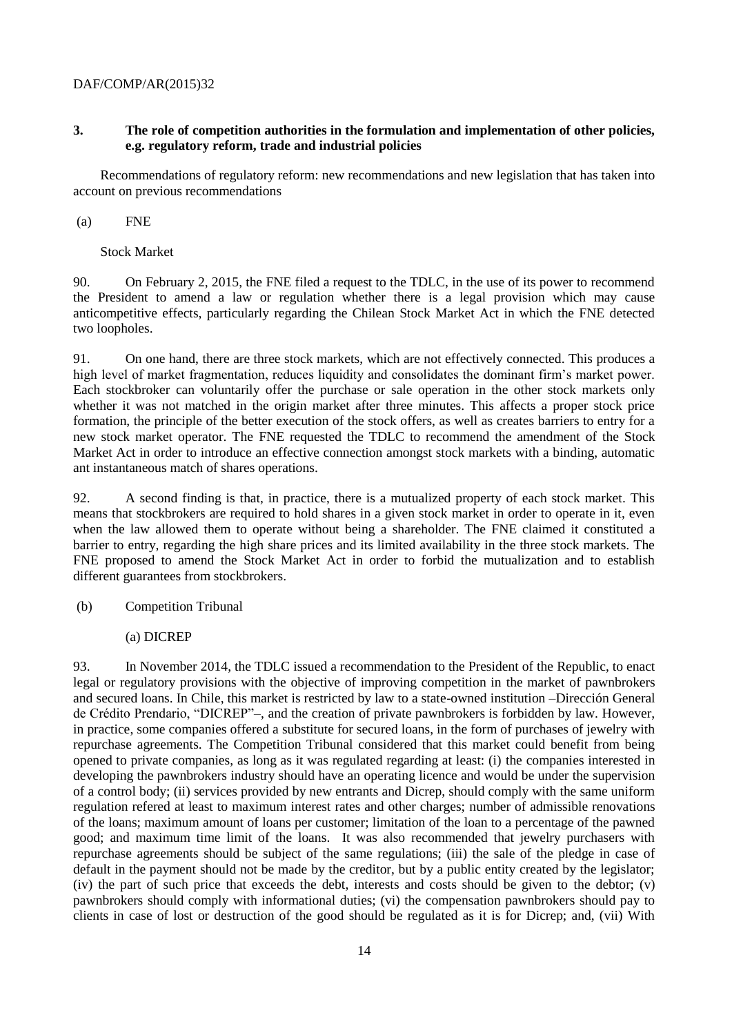# <span id="page-13-0"></span>**3. The role of competition authorities in the formulation and implementation of other policies, e.g. regulatory reform, trade and industrial policies**

Recommendations of regulatory reform: new recommendations and new legislation that has taken into account on previous recommendations

#### (a) FNE

Stock Market

90. On February 2, 2015, the FNE filed a request to the TDLC, in the use of its power to recommend the President to amend a law or regulation whether there is a legal provision which may cause anticompetitive effects, particularly regarding the Chilean Stock Market Act in which the FNE detected two loopholes.

91. On one hand, there are three stock markets, which are not effectively connected. This produces a high level of market fragmentation, reduces liquidity and consolidates the dominant firm's market power. Each stockbroker can voluntarily offer the purchase or sale operation in the other stock markets only whether it was not matched in the origin market after three minutes. This affects a proper stock price formation, the principle of the better execution of the stock offers, as well as creates barriers to entry for a new stock market operator. The FNE requested the TDLC to recommend the amendment of the Stock Market Act in order to introduce an effective connection amongst stock markets with a binding, automatic ant instantaneous match of shares operations.

92. A second finding is that, in practice, there is a mutualized property of each stock market. This means that stockbrokers are required to hold shares in a given stock market in order to operate in it, even when the law allowed them to operate without being a shareholder. The FNE claimed it constituted a barrier to entry, regarding the high share prices and its limited availability in the three stock markets. The FNE proposed to amend the Stock Market Act in order to forbid the mutualization and to establish different guarantees from stockbrokers.

- (b) Competition Tribunal
	- (a) DICREP

93. In November 2014, the TDLC issued a recommendation to the President of the Republic, to enact legal or regulatory provisions with the objective of improving competition in the market of pawnbrokers and secured loans. In Chile, this market is restricted by law to a state-owned institution –Dirección General de Crédito Prendario, "DICREP"–, and the creation of private pawnbrokers is forbidden by law. However, in practice, some companies offered a substitute for secured loans, in the form of purchases of jewelry with repurchase agreements. The Competition Tribunal considered that this market could benefit from being opened to private companies, as long as it was regulated regarding at least: (i) the companies interested in developing the pawnbrokers industry should have an operating licence and would be under the supervision of a control body; (ii) services provided by new entrants and Dicrep, should comply with the same uniform regulation refered at least to maximum interest rates and other charges; number of admissible renovations of the loans; maximum amount of loans per customer; limitation of the loan to a percentage of the pawned good; and maximum time limit of the loans. It was also recommended that jewelry purchasers with repurchase agreements should be subject of the same regulations; (iii) the sale of the pledge in case of default in the payment should not be made by the creditor, but by a public entity created by the legislator; (iv) the part of such price that exceeds the debt, interests and costs should be given to the debtor; (v) pawnbrokers should comply with informational duties; (vi) the compensation pawnbrokers should pay to clients in case of lost or destruction of the good should be regulated as it is for Dicrep; and, (vii) With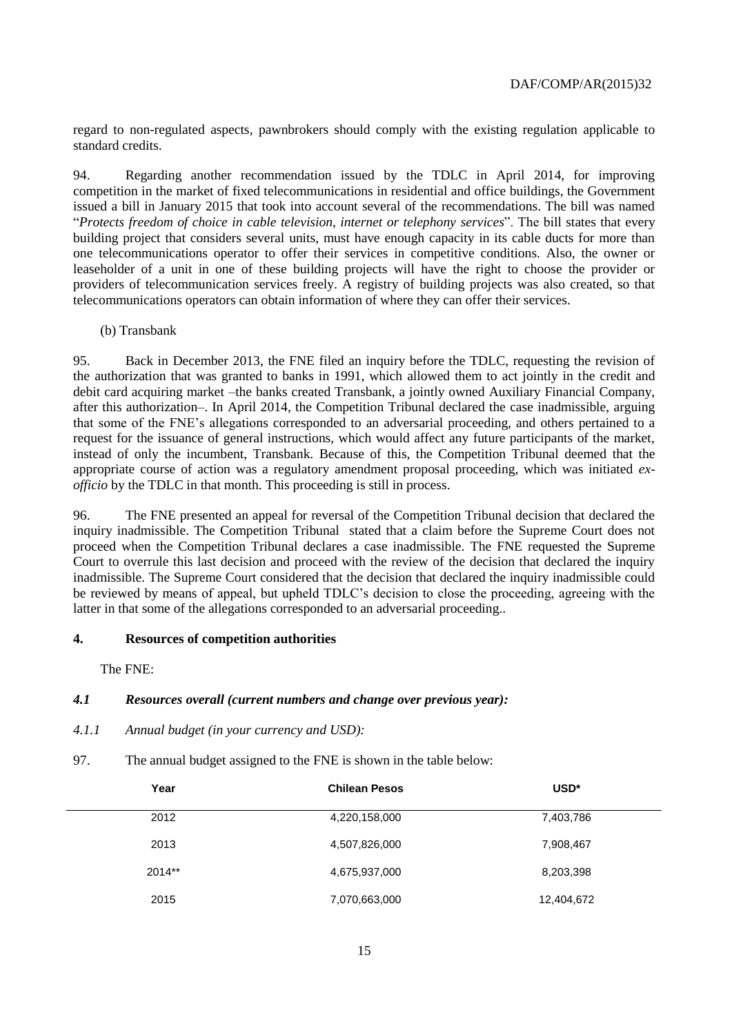regard to non-regulated aspects, pawnbrokers should comply with the existing regulation applicable to standard credits.

94. Regarding another recommendation issued by the TDLC in April 2014, for improving competition in the market of fixed telecommunications in residential and office buildings, the Government issued a bill in January 2015 that took into account several of the recommendations. The bill was named "*Protects freedom of choice in cable television, internet or telephony services*". The bill states that every building project that considers several units, must have enough capacity in its cable ducts for more than one telecommunications operator to offer their services in competitive conditions. Also, the owner or leaseholder of a unit in one of these building projects will have the right to choose the provider or providers of telecommunication services freely. A registry of building projects was also created, so that telecommunications operators can obtain information of where they can offer their services.

(b) Transbank

95. Back in December 2013, the FNE filed an inquiry before the TDLC, requesting the revision of the authorization that was granted to banks in 1991, which allowed them to act jointly in the credit and debit card acquiring market –the banks created Transbank, a jointly owned Auxiliary Financial Company, after this authorization–. In April 2014, the Competition Tribunal declared the case inadmissible, arguing that some of the FNE's allegations corresponded to an adversarial proceeding, and others pertained to a request for the issuance of general instructions, which would affect any future participants of the market, instead of only the incumbent, Transbank. Because of this, the Competition Tribunal deemed that the appropriate course of action was a regulatory amendment proposal proceeding, which was initiated *exofficio* by the TDLC in that month. This proceeding is still in process.

96. The FNE presented an appeal for reversal of the Competition Tribunal decision that declared the inquiry inadmissible. The Competition Tribunal stated that a claim before the Supreme Court does not proceed when the Competition Tribunal declares a case inadmissible. The FNE requested the Supreme Court to overrule this last decision and proceed with the review of the decision that declared the inquiry inadmissible. The Supreme Court considered that the decision that declared the inquiry inadmissible could be reviewed by means of appeal, but upheld TDLC's decision to close the proceeding, agreeing with the latter in that some of the allegations corresponded to an adversarial proceeding..

#### <span id="page-14-0"></span>**4. Resources of competition authorities**

The FNE:

## <span id="page-14-1"></span>*4.1 Resources overall (current numbers and change over previous year):*

- *4.1.1 Annual budget (in your currency and USD):*
- 97. The annual budget assigned to the FNE is shown in the table below:

| Year     | <b>Chilean Pesos</b> | USD*       |
|----------|----------------------|------------|
| 2012     | 4,220,158,000        | 7,403,786  |
| 2013     | 4,507,826,000        | 7,908,467  |
| $2014**$ | 4,675,937,000        | 8,203,398  |
| 2015     | 7,070,663,000        | 12,404,672 |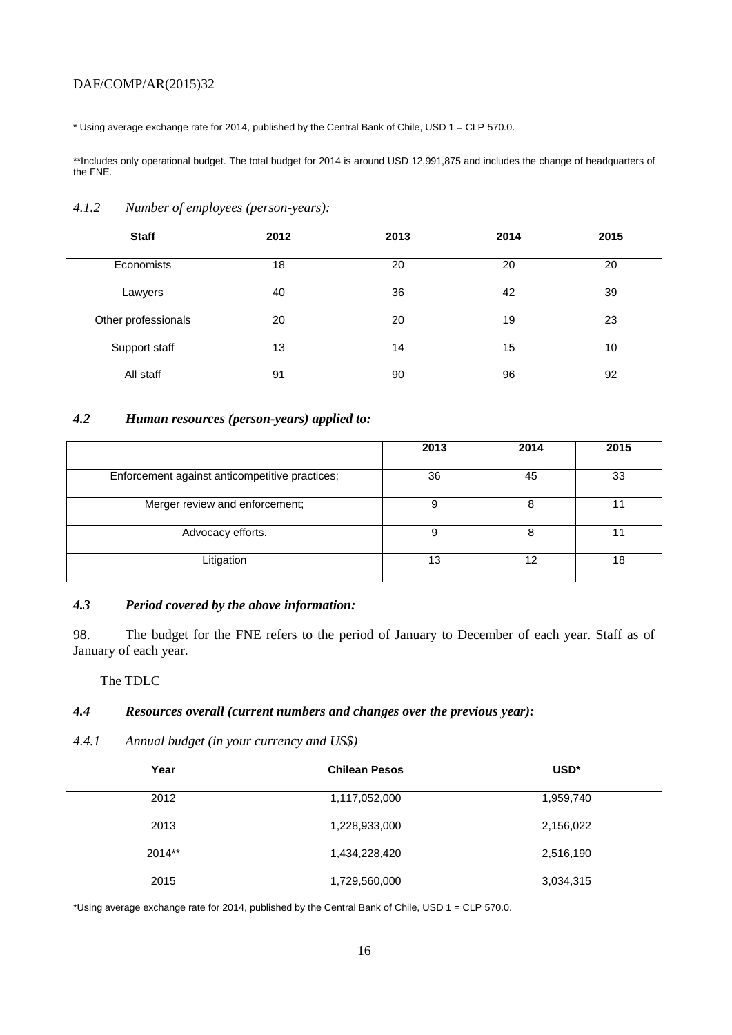\* Using average exchange rate for 2014, published by the Central Bank of Chile, USD 1 = CLP 570.0.

\*\*Includes only operational budget. The total budget for 2014 is around USD 12,991,875 and includes the change of headquarters of the FNE.

# *4.1.2 Number of employees (person-years):*

| <b>Staff</b>        | 2012 | 2013 | 2014 | 2015 |
|---------------------|------|------|------|------|
| Economists          | 18   | 20   | 20   | 20   |
| Lawyers             | 40   | 36   | 42   | 39   |
| Other professionals | 20   | 20   | 19   | 23   |
| Support staff       | 13   | 14   | 15   | 10   |
| All staff           | 91   | 90   | 96   | 92   |

#### <span id="page-15-0"></span>*4.2 Human resources (person-years) applied to:*

|                                                | 2013 | 2014 | 2015 |
|------------------------------------------------|------|------|------|
| Enforcement against anticompetitive practices; | 36   | 45   | 33   |
| Merger review and enforcement;                 | 9    | 8    |      |
| Advocacy efforts.                              | 9    | 8    |      |
| Litigation                                     | 13   | 12   | 18   |

#### <span id="page-15-1"></span>*4.3 Period covered by the above information:*

98. The budget for the FNE refers to the period of January to December of each year. Staff as of January of each year.

# The TDLC

#### <span id="page-15-2"></span>*4.4 Resources overall (current numbers and changes over the previous year):*

*4.4.1 Annual budget (in your currency and US\$)* 

| Year     | <b>Chilean Pesos</b> | USD*      |  |
|----------|----------------------|-----------|--|
| 2012     | 1,117,052,000        | 1,959,740 |  |
| 2013     | 1,228,933,000        | 2,156,022 |  |
| $2014**$ | 1,434,228,420        | 2,516,190 |  |
| 2015     | 1,729,560,000        | 3,034,315 |  |

\*Using average exchange rate for 2014, published by the Central Bank of Chile, USD 1 = CLP 570.0.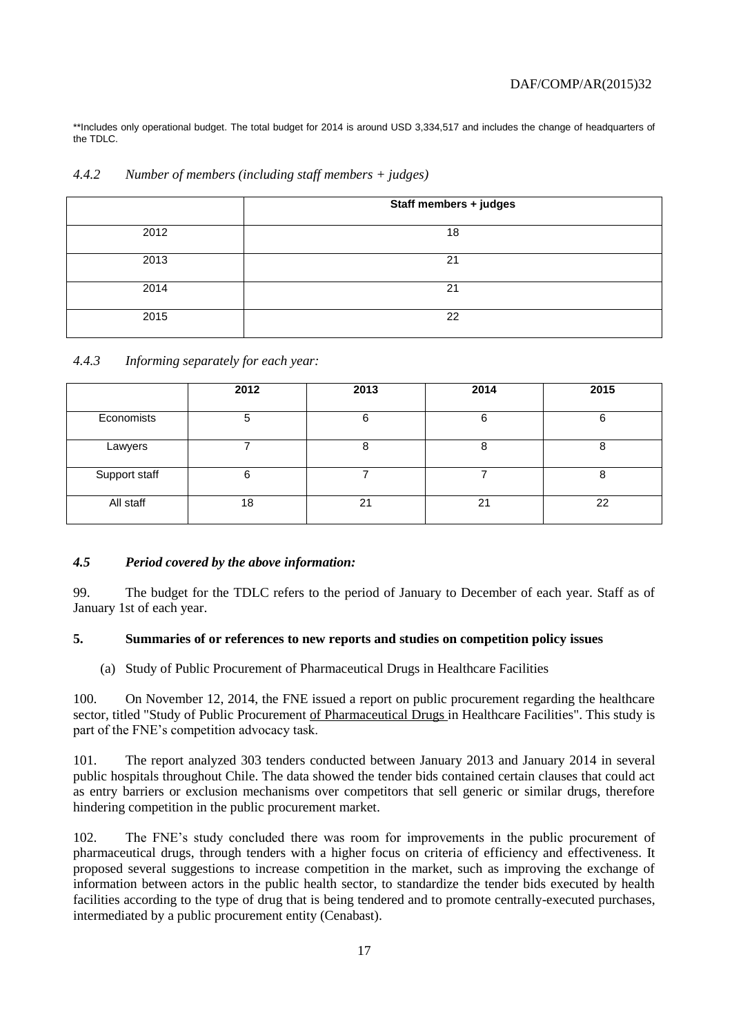\*\*Includes only operational budget. The total budget for 2014 is around USD 3,334,517 and includes the change of headquarters of the TDLC.

|      | Staff members + judges |
|------|------------------------|
| 2012 | 18                     |
| 2013 | 21                     |
| 2014 | 21                     |
| 2015 | 22                     |

# *4.4.2 Number of members (including staff members + judges)*

#### *4.4.3 Informing separately for each year:*

|               | 2012 | 2013 | 2014 | 2015 |
|---------------|------|------|------|------|
| Economists    | 5    | b    | b    | O    |
| Lawyers       |      |      |      |      |
| Support staff | 6    |      |      |      |
| All staff     | 18   | 21   | 21   | 22   |

#### <span id="page-16-0"></span>*4.5 Period covered by the above information:*

99. The budget for the TDLC refers to the period of January to December of each year. Staff as of January 1st of each year.

#### <span id="page-16-1"></span>**5. Summaries of or references to new reports and studies on competition policy issues**

(a) Study of Public Procurement of Pharmaceutical Drugs in Healthcare Facilities

100. On November 12, 2014, the FNE issued a report on public procurement regarding the healthcare sector, titled "Study of Public Procurement of Pharmaceutical Drugs in Healthcare Facilities". This study is part of the FNE's competition advocacy task.

101. The report analyzed 303 tenders conducted between January 2013 and January 2014 in several public hospitals throughout Chile. The data showed the tender bids contained certain clauses that could act as entry barriers or exclusion mechanisms over competitors that sell generic or similar drugs, therefore hindering competition in the public procurement market.

102. The FNE's study concluded there was room for improvements in the public procurement of pharmaceutical drugs, through tenders with a higher focus on criteria of efficiency and effectiveness. It proposed several suggestions to increase competition in the market, such as improving the exchange of information between actors in the public health sector, to standardize the tender bids executed by health facilities according to the type of drug that is being tendered and to promote centrally-executed purchases, intermediated by a public procurement entity (Cenabast).